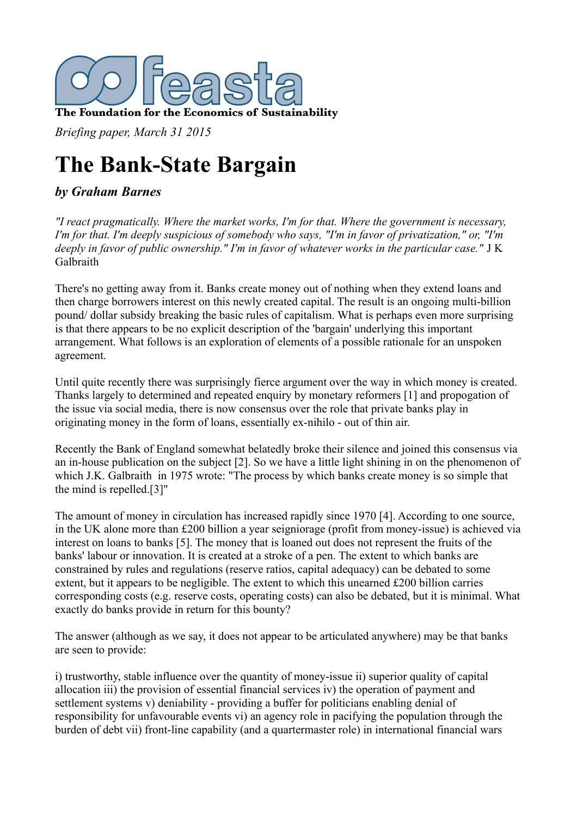

*Briefing paper, March 31 2015*

# **The Bank-State Bargain**

# *by Graham Barnes*

*"I react pragmatically. Where the market works, I'm for that. Where the government is necessary, I'm for that. I'm deeply suspicious of somebody who says, "I'm in favor of privatization," or, "I'm deeply in favor of public ownership." I'm in favor of whatever works in the particular case."* J K Galbraith

There's no getting away from it. Banks create money out of nothing when they extend loans and then charge borrowers interest on this newly created capital. The result is an ongoing multi-billion pound/ dollar subsidy breaking the basic rules of capitalism. What is perhaps even more surprising is that there appears to be no explicit description of the 'bargain' underlying this important arrangement. What follows is an exploration of elements of a possible rationale for an unspoken agreement.

Until quite recently there was surprisingly fierce argument over the way in which money is created. Thanks largely to determined and repeated enquiry by monetary reformers [1] and propogation of the issue via social media, there is now consensus over the role that private banks play in originating money in the form of loans, essentially ex-nihilo - out of thin air.

Recently the Bank of England somewhat belatedly broke their silence and joined this consensus via an in-house publication on the subject [2]. So we have a little light shining in on the phenomenon of which J.K. Galbraith in 1975 wrote: "The process by which banks create money is so simple that the mind is repelled.[3]"

The amount of money in circulation has increased rapidly since 1970 [4]. According to one source, in the UK alone more than £200 billion a year seigniorage (profit from money-issue) is achieved via interest on loans to banks [5]. The money that is loaned out does not represent the fruits of the banks' labour or innovation. It is created at a stroke of a pen. The extent to which banks are constrained by rules and regulations (reserve ratios, capital adequacy) can be debated to some extent, but it appears to be negligible. The extent to which this unearned £200 billion carries corresponding costs (e.g. reserve costs, operating costs) can also be debated, but it is minimal. What exactly do banks provide in return for this bounty?

The answer (although as we say, it does not appear to be articulated anywhere) may be that banks are seen to provide:

i) trustworthy, stable influence over the quantity of money-issue ii) superior quality of capital allocation iii) the provision of essential financial services iv) the operation of payment and settlement systems v) deniability - providing a buffer for politicians enabling denial of responsibility for unfavourable events vi) an agency role in pacifying the population through the burden of debt vii) front-line capability (and a quartermaster role) in international financial wars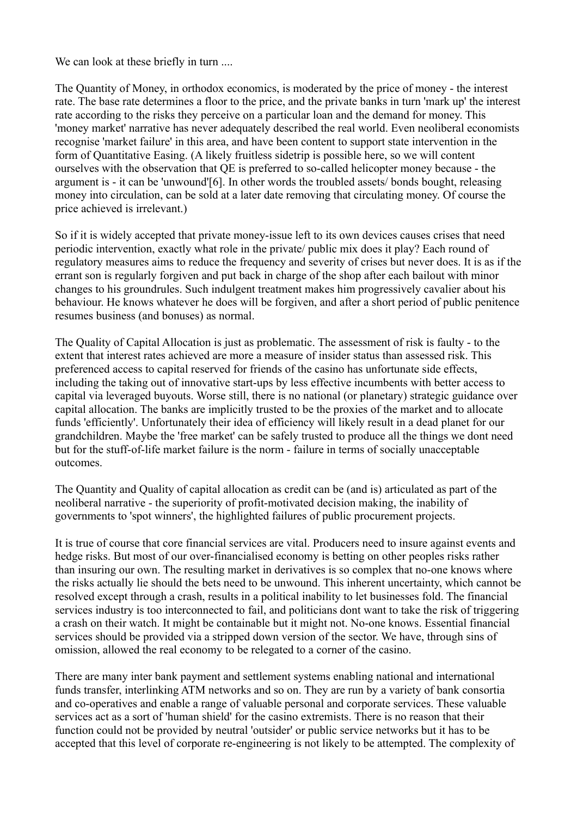We can look at these briefly in turn ....

The Quantity of Money, in orthodox economics, is moderated by the price of money - the interest rate. The base rate determines a floor to the price, and the private banks in turn 'mark up' the interest rate according to the risks they perceive on a particular loan and the demand for money. This 'money market' narrative has never adequately described the real world. Even neoliberal economists recognise 'market failure' in this area, and have been content to support state intervention in the form of Quantitative Easing. (A likely fruitless sidetrip is possible here, so we will content ourselves with the observation that QE is preferred to so-called helicopter money because - the argument is - it can be 'unwound'[6]. In other words the troubled assets/ bonds bought, releasing money into circulation, can be sold at a later date removing that circulating money. Of course the price achieved is irrelevant.)

So if it is widely accepted that private money-issue left to its own devices causes crises that need periodic intervention, exactly what role in the private/ public mix does it play? Each round of regulatory measures aims to reduce the frequency and severity of crises but never does. It is as if the errant son is regularly forgiven and put back in charge of the shop after each bailout with minor changes to his groundrules. Such indulgent treatment makes him progressively cavalier about his behaviour. He knows whatever he does will be forgiven, and after a short period of public penitence resumes business (and bonuses) as normal.

The Quality of Capital Allocation is just as problematic. The assessment of risk is faulty - to the extent that interest rates achieved are more a measure of insider status than assessed risk. This preferenced access to capital reserved for friends of the casino has unfortunate side effects, including the taking out of innovative start-ups by less effective incumbents with better access to capital via leveraged buyouts. Worse still, there is no national (or planetary) strategic guidance over capital allocation. The banks are implicitly trusted to be the proxies of the market and to allocate funds 'efficiently'. Unfortunately their idea of efficiency will likely result in a dead planet for our grandchildren. Maybe the 'free market' can be safely trusted to produce all the things we dont need but for the stuff-of-life market failure is the norm - failure in terms of socially unacceptable outcomes.

The Quantity and Quality of capital allocation as credit can be (and is) articulated as part of the neoliberal narrative - the superiority of profit-motivated decision making, the inability of governments to 'spot winners', the highlighted failures of public procurement projects.

It is true of course that core financial services are vital. Producers need to insure against events and hedge risks. But most of our over-financialised economy is betting on other peoples risks rather than insuring our own. The resulting market in derivatives is so complex that no-one knows where the risks actually lie should the bets need to be unwound. This inherent uncertainty, which cannot be resolved except through a crash, results in a political inability to let businesses fold. The financial services industry is too interconnected to fail, and politicians dont want to take the risk of triggering a crash on their watch. It might be containable but it might not. No-one knows. Essential financial services should be provided via a stripped down version of the sector. We have, through sins of omission, allowed the real economy to be relegated to a corner of the casino.

There are many inter bank payment and settlement systems enabling national and international funds transfer, interlinking ATM networks and so on. They are run by a variety of bank consortia and co-operatives and enable a range of valuable personal and corporate services. These valuable services act as a sort of 'human shield' for the casino extremists. There is no reason that their function could not be provided by neutral 'outsider' or public service networks but it has to be accepted that this level of corporate re-engineering is not likely to be attempted. The complexity of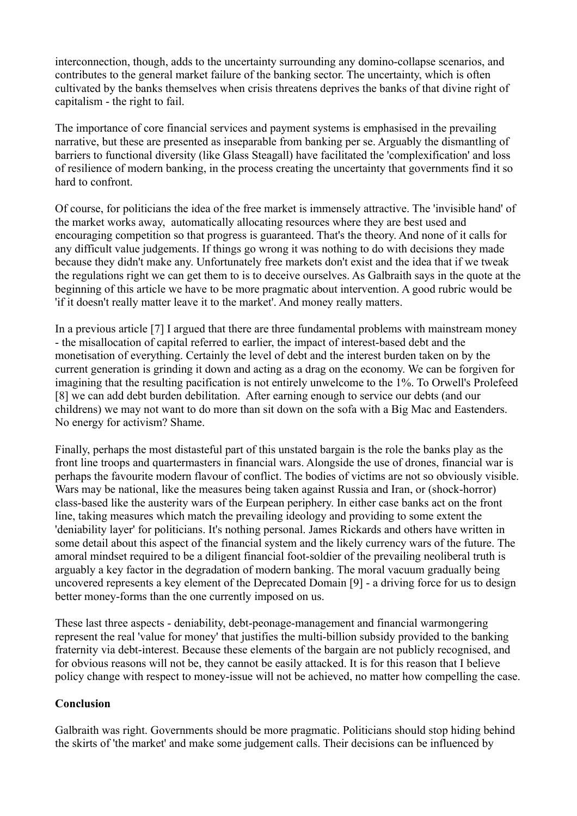interconnection, though, adds to the uncertainty surrounding any domino-collapse scenarios, and contributes to the general market failure of the banking sector. The uncertainty, which is often cultivated by the banks themselves when crisis threatens deprives the banks of that divine right of capitalism - the right to fail.

The importance of core financial services and payment systems is emphasised in the prevailing narrative, but these are presented as inseparable from banking per se. Arguably the dismantling of barriers to functional diversity (like Glass Steagall) have facilitated the 'complexification' and loss of resilience of modern banking, in the process creating the uncertainty that governments find it so hard to confront.

Of course, for politicians the idea of the free market is immensely attractive. The 'invisible hand' of the market works away, automatically allocating resources where they are best used and encouraging competition so that progress is guaranteed. That's the theory. And none of it calls for any difficult value judgements. If things go wrong it was nothing to do with decisions they made because they didn't make any. Unfortunately free markets don't exist and the idea that if we tweak the regulations right we can get them to is to deceive ourselves. As Galbraith says in the quote at the beginning of this article we have to be more pragmatic about intervention. A good rubric would be 'if it doesn't really matter leave it to the market'. And money really matters.

In a previous article [7] I argued that there are three fundamental problems with mainstream money - the misallocation of capital referred to earlier, the impact of interest-based debt and the monetisation of everything. Certainly the level of debt and the interest burden taken on by the current generation is grinding it down and acting as a drag on the economy. We can be forgiven for imagining that the resulting pacification is not entirely unwelcome to the 1%. To Orwell's Prolefeed [8] we can add debt burden debilitation. After earning enough to service our debts (and our childrens) we may not want to do more than sit down on the sofa with a Big Mac and Eastenders. No energy for activism? Shame.

Finally, perhaps the most distasteful part of this unstated bargain is the role the banks play as the front line troops and quartermasters in financial wars. Alongside the use of drones, financial war is perhaps the favourite modern flavour of conflict. The bodies of victims are not so obviously visible. Wars may be national, like the measures being taken against Russia and Iran, or (shock-horror) class-based like the austerity wars of the Eurpean periphery. In either case banks act on the front line, taking measures which match the prevailing ideology and providing to some extent the 'deniability layer' for politicians. It's nothing personal. James Rickards and others have written in some detail about this aspect of the financial system and the likely currency wars of the future. The amoral mindset required to be a diligent financial foot-soldier of the prevailing neoliberal truth is arguably a key factor in the degradation of modern banking. The moral vacuum gradually being uncovered represents a key element of the Deprecated Domain [9] - a driving force for us to design better money-forms than the one currently imposed on us.

These last three aspects - deniability, debt-peonage-management and financial warmongering represent the real 'value for money' that justifies the multi-billion subsidy provided to the banking fraternity via debt-interest. Because these elements of the bargain are not publicly recognised, and for obvious reasons will not be, they cannot be easily attacked. It is for this reason that I believe policy change with respect to money-issue will not be achieved, no matter how compelling the case.

#### **Conclusion**

Galbraith was right. Governments should be more pragmatic. Politicians should stop hiding behind the skirts of 'the market' and make some judgement calls. Their decisions can be influenced by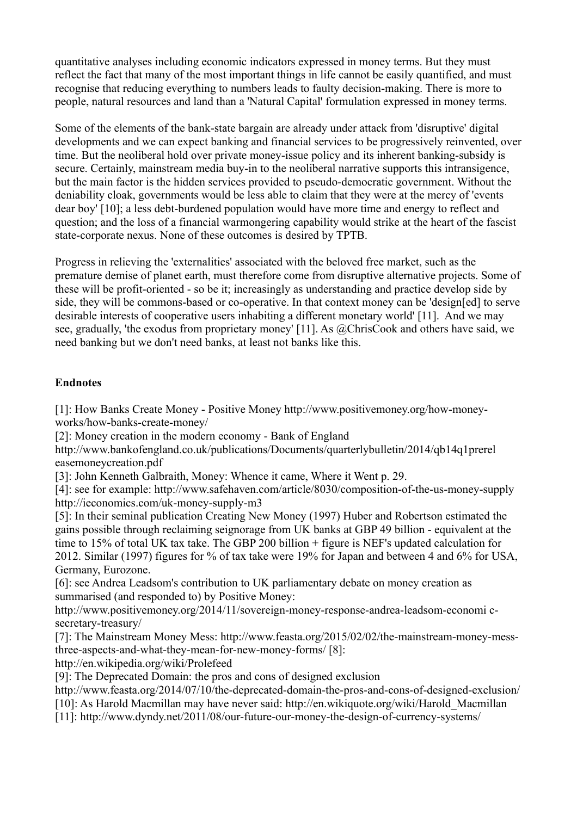quantitative analyses including economic indicators expressed in money terms. But they must reflect the fact that many of the most important things in life cannot be easily quantified, and must recognise that reducing everything to numbers leads to faulty decision-making. There is more to people, natural resources and land than a 'Natural Capital' formulation expressed in money terms.

Some of the elements of the bank-state bargain are already under attack from 'disruptive' digital developments and we can expect banking and financial services to be progressively reinvented, over time. But the neoliberal hold over private money-issue policy and its inherent banking-subsidy is secure. Certainly, mainstream media buy-in to the neoliberal narrative supports this intransigence, but the main factor is the hidden services provided to pseudo-democratic government. Without the deniability cloak, governments would be less able to claim that they were at the mercy of 'events dear boy' [10]; a less debt-burdened population would have more time and energy to reflect and question; and the loss of a financial warmongering capability would strike at the heart of the fascist state-corporate nexus. None of these outcomes is desired by TPTB.

Progress in relieving the 'externalities' associated with the beloved free market, such as the premature demise of planet earth, must therefore come from disruptive alternative projects. Some of these will be profit-oriented - so be it; increasingly as understanding and practice develop side by side, they will be commons-based or co-operative. In that context money can be 'design[ed] to serve desirable interests of cooperative users inhabiting a different monetary world' [11]. And we may see, gradually, 'the exodus from proprietary money' [11]. As @ChrisCook and others have said, we need banking but we don't need banks, at least not banks like this.

### **Endnotes**

[1]: How Banks Create Money - Positive Money http://www.positivemoney.org/how-moneyworks/how-banks-create-money/

[2]: Money creation in the modern economy - Bank of England

http://www.bankofengland.co.uk/publications/Documents/quarterlybulletin/2014/qb14q1prerel easemoneycreation.pdf

[3]: John Kenneth Galbraith, Money: Whence it came, Where it Went p. 29.

[4]: see for example: http://www.safehaven.com/article/8030/composition-of-the-us-money-supply http://ieconomics.com/uk-money-supply-m3

[5]: In their seminal publication Creating New Money (1997) Huber and Robertson estimated the gains possible through reclaiming seignorage from UK banks at GBP 49 billion - equivalent at the time to 15% of total UK tax take. The GBP 200 billion + figure is NEF's updated calculation for 2012. Similar (1997) figures for % of tax take were 19% for Japan and between 4 and 6% for USA, Germany, Eurozone.

[6]: see Andrea Leadsom's contribution to UK parliamentary debate on money creation as summarised (and responded to) by Positive Money:

http://www.positivemoney.org/2014/11/sovereign-money-response-andrea-leadsom-economi csecretary-treasury/

[7]: The Mainstream Money Mess: http://www.feasta.org/2015/02/02/the-mainstream-money-messthree-aspects-and-what-they-mean-for-new-money-forms/ [8]:

http://en.wikipedia.org/wiki/Prolefeed

[9]: The Deprecated Domain: the pros and cons of designed exclusion

http://www.feasta.org/2014/07/10/the-deprecated-domain-the-pros-and-cons-of-designed-exclusion/

[10]: As Harold Macmillan may have never said: http://en.wikiquote.org/wiki/Harold\_Macmillan

[11]: http://www.dyndy.net/2011/08/our-future-our-money-the-design-of-currency-systems/